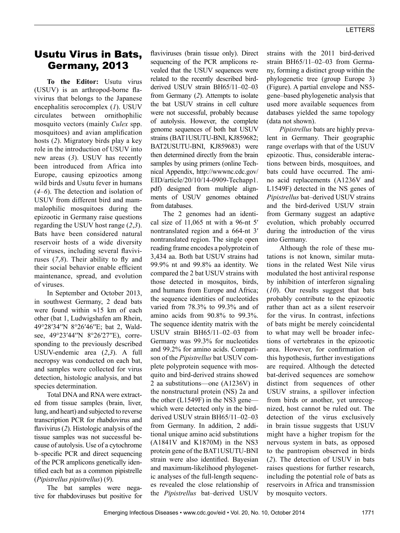## Usutu Virus in Bats, Germany, 2013

**To the Editor:** Usutu virus (USUV) is an arthropod-borne flavivirus that belongs to the Japanese encephalitis serocomplex (*1*). USUV circulates between ornithophilic mosquito vectors (mainly *Culex* spp. mosquitoes) and avian amplification hosts (*2*). Migratory birds play a key role in the introduction of USUV into new areas (*3*). USUV has recently been introduced from Africa into Europe, causing epizootics among wild birds and Usutu fever in humans (*4*–*6*). The detection and isolation of USUV from different bird and mammalophilic mosquitoes during the epizootic in Germany raise questions regarding the USUV host range (*2*,*3*). Bats have been considered natural reservoir hosts of a wide diversity of viruses, including several flaviviruses (*7*,*8*). Their ability to fly and their social behavior enable efficient maintenance, spread, and evolution of viruses.

In September and October 2013, in southwest Germany, 2 dead bats were found within ≈15 km of each other (bat 1, Ludwigshafen am Rhein, 49°28′34′′N 8°26′46′′E; bat 2, Waldsee, 49°23′44′′N 8°26′27′′E), corresponding to the previously described USUV-endemic area (*2*,*3*). A full necropsy was conducted on each bat, and samples were collected for virus detection, histologic analysis, and bat species determination.

Total DNA and RNA were extracted from tissue samples (brain, liver, lung, and heart) and subjected to reverse transcription PCR for rhabdovirus and flavivirus (*2*). Histologic analysis of the tissue samples was not successful because of autolysis. Use of a cytochrome b–specific PCR and direct sequencing of the PCR amplicons genetically identified each bat as a common pipistrelle (*Pipistrellus pipistrellus*) (*9*).

The bat samples were negative for rhabdoviruses but positive for flaviviruses (brain tissue only). Direct sequencing of the PCR amplicons revealed that the USUV sequences were related to the recently described birdderived USUV strain BH65/11–02–03 from Germany (*2*). Attempts to isolate the bat USUV strains in cell culture were not successful, probably because of autolysis. However, the complete genome sequences of both bat USUV strains (BAT1USUTU-BNI, KJ859682; BAT2USUTU-BNI, KJ859683) were then determined directly from the brain samples by using primers (online Technical Appendix, http://wwwnc.cdc.gov/ EID/article/20/10/14-0909-Techapp1. pdf) designed from multiple alignments of USUV genomes obtained from databases.

The 2 genomes had an identical size of 11,065 nt with a 96-nt 5′ nontranslated region and a 664-nt 3′ nontranslated region. The single open reading frame encodes a polyprotein of 3,434 aa. Both bat USUV strains had 99.9% nt and 99.8% aa identity. We compared the 2 bat USUV strains with those detected in mosquitos, birds, and humans from Europe and Africa; the sequence identities of nucleotides varied from 78.3% to 99.3% and of amino acids from 90.8% to 99.3%. The sequence identity matrix with the USUV strain BH65/11–02–03 from Germany was 99.3% for nucleotides and 99.2% for amino acids. Comparison of the *Pipistrellus* bat USUV complete polyprotein sequence with mosquito and bird-derived strains showed 2 aa substitutions—one (A1236V) in the nonstructural protein (NS) 2a and the other (L1549F) in the NS3 gene which were detected only in the birdderived USUV strain BH65/11–02–03 from Germany. In addition, 2 additional unique amino acid substitutions (A1841V and K1870M) in the NS3 protein gene of the BAT1USUTU-BNI strain were also identified. Bayesian and maximum-likelihood phylogenetic analyses of the full-length sequences revealed the close relationship of the *Pipistrellus* bat–derived USUV

strains with the 2011 bird-derived strain BH65/11–02–03 from Germany, forming a distinct group within the phylogenetic tree (group Europe 3) (Figure). A partial envelope and NS5 gene–based phylogenetic analysis that used more available sequences from databases yielded the same topology (data not shown).

*Pipistrellus* bats are highly prevalent in Germany. Their geographic range overlaps with that of the USUV epizootic. Thus, considerable interactions between birds, mosquitoes, and bats could have occurred. The amino acid replacements (A1236V and L1549F) detected in the NS genes of *Pipistrellus* bat–derived USUV strains and the bird-derived USUV strain from Germany suggest an adaptive evolution, which probably occurred during the introduction of the virus into Germany.

Although the role of these mutations is not known, similar mutations in the related West Nile virus modulated the host antiviral response by inhibition of interferon signaling (*10*). Our results suggest that bats probably contribute to the epizootic rather than act as a silent reservoir for the virus. In contrast, infections of bats might be merely coincidental to what may well be broader infections of vertebrates in the epizootic area. However, for confirmation of this hypothesis, further investigations are required. Although the detected bat-derived sequences are somehow distinct from sequences of other USUV strains, a spillover infection from birds or another, yet unrecognized, host cannot be ruled out. The detection of the virus exclusively in brain tissue suggests that USUV might have a higher tropism for the nervous system in bats, as opposed to the pantropism observed in birds (*2*). The detection of USUV in bats raises questions for further research, including the potential role of bats as reservoirs in Africa and transmission by mosquito vectors.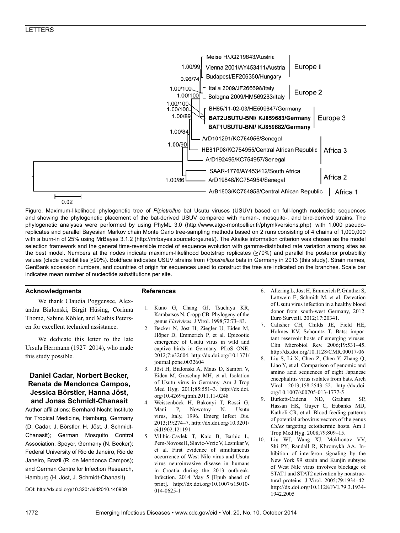

Figure. Maximum-likelihood phylogenetic tree of *Pipistrellus* bat Usutu viruses (USUV) based on full-length nucleotide sequences and showing the phylogenetic placement of the bat-derived USUV compared with human-, mosquito-, and bird-derived strains. The phylogenetic analyses were performed by using PhyML 3.0 (http://www.atgc-montpellier.fr/phyml/versions.php) with 1,000 pseudoreplicates and parallel Bayesian Markov chain Monte Carlo tree-sampling methods based on 2 runs consisting of 4 chains of 1,000,000 with a burn-in of 25% using MrBayes 3.1.2 (http://mrbayes.sourceforge.net/). The Akaike information criterion was chosen as the model selection framework and the general time-reversible model of sequence evolution with gamma-distributed rate variation among sites as the best model. Numbers at the nodes indicate maximum-likelihood bootstrap replicates  $(270%)$  and parallel the posterior probability values (clade credibilities >90%). Boldface indicates USUV strains from *Pipistrellus* bats in Germany in 2013 (this study). Strain names, GenBank accession numbers, and countries of origin for sequences used to construct the tree are indicated on the branches. Scale bar indicates mean number of nucleotide substitutions per site.

#### **Acknowledgments**

We thank Claudia Poggensee, Alexandra Bialonski, Birgit Hüsing, Corinna Thomè, Sabine Köhler, and Mathis Petersen for excellent technical assistance.

We dedicate this letter to the late Ursula Herrmann (1927–2014), who made this study possible.

#### **Daniel Cadar, Norbert Becker, Renata de Mendonca Campos, Jessica Börstler, Hanna Jöst, and Jonas Schmidt-Chanasit**

Author affiliations: Bernhard Nocht Institute for Tropical Medicine, Hamburg, Germany (D. Cadar, J. Börstler, H. Jöst, J. Schmidt-Chanasit); German Mosquito Control Association, Speyer, Germany (N. Becker); Federal University of Rio de Janeiro, Rio de Janeiro, Brazil (R. de Mendonca Campos); and German Centre for Infection Research, Hamburg (H. Jöst, J. Schmidt-Chanasit)

DOI: http://dx.doi.org/10.3201/eid2010.140909

#### **References**

- 1. Kuno G, Chang GJ, Tsuchiya KR, Karabatsos N, Cropp CB. Phylogeny of the genus *Flavivirus*. J Virol. 1998;72:73–83.
- 2. Becker N, Jöst H, Ziegler U, Eiden M, Höper D, Emmerich P, et al. Epizootic emergence of Usutu virus in wild and captive birds in Germany. PLoS ONE. 2012;7:e32604. http://dx.doi.org/10.1371/ journal.pone.0032604
- 3. Jöst H, Bialonski A, Maus D, Sambri V, Eiden M, Groschup MH, et al. Isolation of Usutu virus in Germany. Am J Trop Med Hyg. 2011;85:551–3. http://dx.doi. org/10.4269/ajtmh.2011.11-0248
- 4. Weissenböck H, Bakonyi T, Rossi G, Mani P, Nowotny N. Usutu virus, Italy, 1996. Emerg Infect Dis. 2013;19:274–7. http://dx.doi.org/10.3201/ eid1902.121191
- 5. Vilibic-Cavlek T, Kaic B, Barbic L, Pem-Novosel I, Slavic-Vrzic V, Lesnikar V, et al. First evidence of simultaneous occurrence of West Nile virus and Usutu virus neuroinvasive disease in humans in Croatia during the 2013 outbreak. Infection. 2014 May 5 [Epub ahead of print]. http://dx.doi.org/10.1007/s15010- 014-0625-1
- 6. Allering L, Jöst H, Emmerich P, Günther S, Lattwein E, Schmidt M, et al. Detection of Usutu virus infection in a healthy blood donor from south-west Germany, 2012. Euro Surveill. 2012;17:20341.
- Calisher CH, Childs JE, Field HE, Holmes KV, Schountz T. Bats: important reservoir hosts of emerging viruses. Clin Microbiol Rev. 2006;19:531–45. http://dx.doi.org/10.1128/CMR.00017-06
- 8. Liu S, Li X, Chen Z, Chen Y, Zhang Q, Liao Y, et al. Comparison of genomic and amino acid sequences of eight Japanese encephalitis virus isolates from bats. Arch Virol. 2013;158:2543–52. http://dx.doi. org/10.1007/s00705-013-1777-5
- 9. Burkett-Cadena ND, Graham SP, Hassan HK, Guyer C, Eubanks MD, Katholi CR, et al. Blood feeding patterns of potential arbovirus vectors of the genus *Culex* targeting ectothermic hosts. Am J Trop Med Hyg. 2008;79:809–15.
- 10. Liu WJ, Wang XJ, Mokhonov VV, Shi PY, Randall R, Khromykh AA. Inhibition of interferon signaling by the New York 99 strain and Kunjin subtype of West Nile virus involves blockage of STAT1 and STAT2 activation by nonstructural proteins. J Virol. 2005;79:1934–42. http://dx.doi.org/10.1128/JVI.79.3.1934- 1942.2005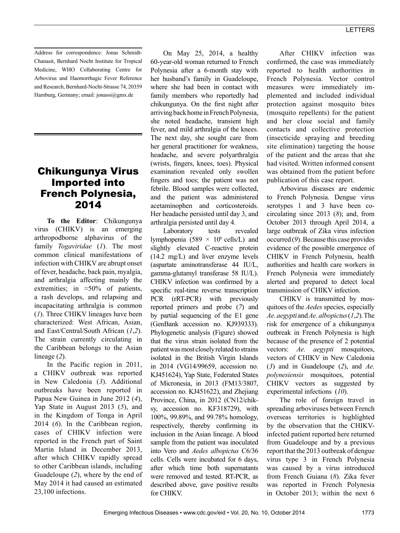Address for correspondence: Jonas Schmidt-Chanasit, Bernhard Nocht Institute for Tropical Medicine, WHO Collaborating Centre for Arbovirus and Haemorrhagic Fever Reference and Research, Bernhard-Nocht-Strasse 74, 20359 Hamburg, Germany; email: jonassi@gmx.de

## Chikungunya Virus Imported into French Polynesia, 2014

**To the Editor**: Chikungunya virus (CHIKV) is an emerging arthropodborne alphavirus of the family *Togaviridae* (*1*). The most common clinical manifestations of infection with CHIKV are abrupt onset of fever, headache, back pain, myalgia, and arthralgia affecting mainly the extremities; in  $\approx 50\%$  of patients, a rash develops, and relapsing and incapacitating arthralgia is common (*1*). Three CHIKV lineages have been characterized: West African, Asian, and East/Central/South African (*1*,*2*). The strain currently circulating in the Caribbean belongs to the Asian lineage (*2*).

In the Pacific region in 2011, a CHIKV outbreak was reported in New Caledonia (*3*). Additional outbreaks have been reported in Papua New Guinea in June 2012 (*4*), Yap State in August 2013 (*5*), and in the Kingdom of Tonga in April 2014 (*6*). In the Caribbean region, cases of CHIKV infection were reported in the French part of Saint Martin Island in December 2013, after which CHIKV rapidly spread to other Caribbean islands, including Guadeloupe (*2*), where by the end of May 2014 it had caused an estimated 23,100 infections.

On May 25, 2014, a healthy 60-year-old woman returned to French Polynesia after a 6-month stay with her husband's family in Guadeloupe, where she had been in contact with family members who reportedly had chikungunya. On the first night after arriving back home in French Polynesia, she noted headache, transient high fever, and mild arthralgia of the knees. The next day, she sought care from her general practitioner for weakness, headache, and severe polyarthralgia (wrists, fingers, knees, toes). Physical examination revealed only swollen fingers and toes; the patient was not febrile. Blood samples were collected, and the patient was administered acetaminophen and corticosteroids. Her headache persisted until day 3, and arthralgia persisted until day 4.

Laboratory tests revealed lymphopenia (589  $\times$  10<sup>6</sup> cells/L) and slightly elevated C-reactive protein (14.2 mg/L) and liver enzyme levels (aspartate aminotransferase 44 IU/L, gamma-glutamyl transferase 58 IU/L). CHIKV infection was confirmed by a specific real-time reverse transcription PCR (rRT-PCR) with previously reported primers and probe (*7*) and by partial sequencing of the E1 gene (GenBank accession no. KJ939333). Phylogenetic analysis (Figure) showed that the virus strain isolated from the patient was most closely related to strains isolated in the British Virgin Islands in 2014 (VG14/99659, accession no. KJ451624), Yap State, Federated States of Micronesia, in 2013 (FM13/3807, accession no. KJ451622), and Zhejiang Province, China, in 2012 (CN12/chiksy, accession no. KF318729), with 100%, 99.89%, and 99.78% homology, respectively, thereby confirming its inclusion in the Asian lineage. A blood sample from the patient was inoculated into Vero and *Aedes albopictus* C6/36 cells. Cells were incubated for 6 days, after which time both supernatants were removed and tested. RT-PCR, as described above, gave positive results for CHIKV.

After CHIKV infection was confirmed, the case was immediately reported to health authorities in French Polynesia. Vector control measures were immediately implemented and included individual protection against mosquito bites (mosquito repellents) for the patient and her close social and family contacts and collective protection (insecticide spraying and breeding site elimination) targeting the house of the patient and the areas that she had visited. Written informed consent was obtained from the patient before publication of this case report.

Arbovirus diseases are endemic to French Polynesia. Dengue virus serotypes 1 and 3 have been cocirculating since 2013 (*8*); and, from October 2013 through April 2014, a large outbreak of Zika virus infection occurred (*9*). Because this case provides evidence of the possible emergence of CHIKV in French Polynesia, health authorities and health care workers in French Polynesia were immediately alerted and prepared to detect local transmission of CHIKV infection.

CHIKV is transmitted by mosquitoes of the *Aedes* species, especially *Ae. aegypti* and *Ae. albopictus* (*1*,*2*). The risk for emergence of a chikungunya outbreak in French Polynesia is high because of the presence of 2 potential vectors: *Ae. aegypti* mosquitoes, vectors of CHIKV in New Caledonia (*3*) and in Guadeloupe (*2*), and *Ae. polynesiensis* mosquitoes, potential CHIKV vectors as suggested by experimental infections (*10*).

The role of foreign travel in spreading arboviruses between French overseas territories is highlighted by the observation that the CHIKVinfected patient reported here returned from Guadeloupe and by a previous report that the 2013 outbreak of dengue virus type 3 in French Polynesia was caused by a virus introduced from French Guiana (*8*). Zika fever was reported in French Polynesia in October 2013; within the next 6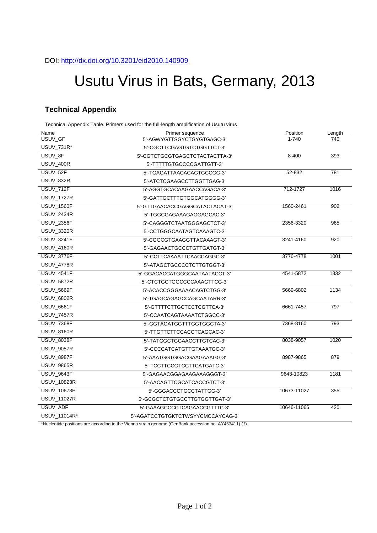# Usutu Virus in Bats, Germany, 2013

## **Technical Appendix**

Technical Appendix Table. Primers used for the full-length amplification of Usutu virus

| Name               | Primer sequence                   | Position    | Length |
|--------------------|-----------------------------------|-------------|--------|
| USUV_GF            | 5'-AGWYGTTSGYCTGYGTGAGC-3'        | $1 - 740$   | 740    |
| <b>USUV 731R*</b>  | 5'-CGCTTCGAGTGTCTGGTTCT-3'        |             |        |
| USUV 8F            | 5'-CGTCTGCGTGAGCTCTACTACTTA-3'    | $8 - 400$   | 393    |
| <b>USUV_400R</b>   | 5'-TTTTTGTGCCCCGATTGTT-3'         |             |        |
| USUV_52F           | 5'-TGAGATTAACACAGTGCCGG-3'        | 52-832      | 781    |
| USUV_832R          | 5'-ATCTCGAAGCCTTGGTTGAG-3'        |             |        |
| <b>USUV_712F</b>   | 5'-AGGTGCACAAGAACCAGACA-3'        | 712-1727    | 1016   |
| <b>USUV_1727R</b>  | 5'-GATTGCTTTGTGGCATGGGG-3'        |             |        |
| <b>USUV_1560F</b>  | 5'-GTTGAACACCGAGGCATACTACAT-3'    | 1560-2461   | 902    |
| <b>USUV_2434R</b>  | 5'-TGGCGAGAAAGAGGAGCAC-3'         |             |        |
| <b>USUV_2356F</b>  | 5'-CAGGGTCTAATGGGAGCTCT-3'        | 2356-3320   | 965    |
| <b>USUV_3320R</b>  | 5'-CCTGGGCAATAGTCAAAGTC-3'        |             |        |
| <b>USUV_3241F</b>  | 5'-CGGCGTGAAGGTTACAAAGT-3'        | 3241-4160   | 920    |
| <b>USUV_4160R</b>  | 5'-GAGAACTGCCCTGTTGATGT-3'        |             |        |
| <b>USUV_3776F</b>  | 5'-CCTTCAAAATTCAACCAGGC-3'        | 3776-4778   | 1001   |
| <b>USUV_4778R</b>  | 5'-ATAGCTGCCCCTCTTGTGGT-3'        |             |        |
| <b>USUV_4541F</b>  | 5'-GGACACCATGGGCAATAATACCT-3'     | 4541-5872   | 1332   |
| <b>USUV_5872R</b>  | 5'-CTCTGCTGGCCCCAAAGTTCG-3'       |             |        |
| <b>USUV_5669F</b>  | 5'-ACACCGGGAAAACAGTCTGG-3'        | 5669-6802   | 1134   |
| <b>USUV_6802R</b>  | 5'-TGAGCAGAGCCAGCAATARR-3'        |             |        |
| <b>USUV_6661F</b>  | 5'-GTTTTCTTGCTCCTCGTTCA-3'        | 6661-7457   | 797    |
| <b>USUV_7457R</b>  | 5'-CCAATCAGTAAAATCTGGCC-3'        |             |        |
| <b>USUV_7368F</b>  | 5'-GGTAGATGGTTTGGTGGCTA-3'        | 7368-8160   | 793    |
| <b>USUV_8160R</b>  | 5'-TTGTTCTTCCACCTCAGCAC-3'        |             |        |
| <b>USUV_8038F</b>  | 5'-TATGGCTGGAACCTTGTCAC-3'        | 8038-9057   | 1020   |
| <b>USUV_9057R</b>  | 5'-CCCCATCATGTTGTAAATGC-3'        |             |        |
| <b>USUV_8987F</b>  | 5'-AAATGGTGGACGAAGAAAGG-3'        | 8987-9865   | 879    |
| <b>USUV_9865R</b>  | 5'-TCCTTCCGTCCTTCATGATC-3'        |             |        |
| <b>USUV_9643F</b>  | 5'-GAGAACGGAGAAGAAAGGGT-3'        | 9643-10823  | 1181   |
| USUV_10823R        | 5'-AACAGTTCGCATCACCGTCT-3'        |             |        |
| <b>USUV_10673F</b> | 5'-GGGACCCTGCCTATTGG-3'           | 10673-11027 | 355    |
| USUV_11027R        | 5'-GCGCTCTGTGCCTTGTGGTTGAT-3'     |             |        |
| USUV_ADF           | 5'-GAAAGCCCCTCAGAACCGTTTC-3'      | 10646-11066 | 420    |
| USUV 11014R*       | 5'-AGATCCTGTGKTCTWSYYCMCCAYCAG-3' |             |        |

\*Nucleotide positions are according to the Vienna strain genome (GenBank accession no. AY453411) (*1*).